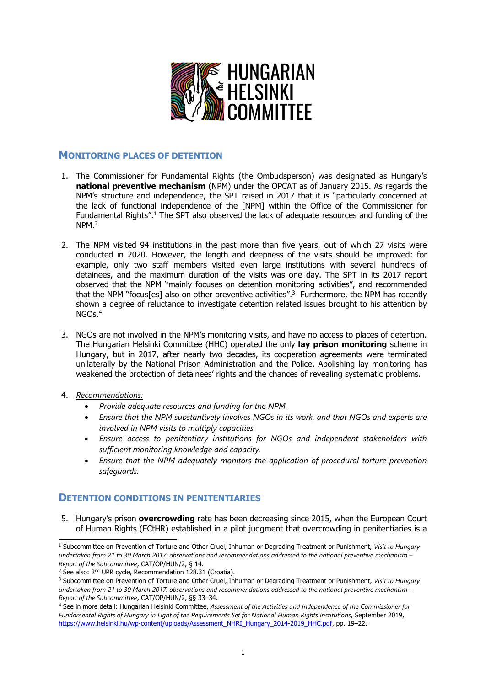

# **MONITORING PLACES OF DETENTION**

- 1. The Commissioner for Fundamental Rights (the Ombudsperson) was designated as Hungary'<sup>s</sup> **national preventive mechanism** (NPM) under the OPCAT as of January 2015. As regards the NPM'<sup>s</sup> structure and independence, the SPT raised in 2017 that it is "particularly concerned at the lack of functional independence of the [NPM] within the Office of the Commissioner for Fundamental Rights".<sup>1</sup> The SPT also observed the lack of adequate resources and funding of the NPM. 2
- 2. The NPM visited 94 institutions in the past more than five years, out of which 27 visits were conducted in 2020. However, the length and deepness of the visits should be improved: for example, only two staff members visited even large institutions with several hundreds of detainees, and the maximum duration of the visits was one day. The SPT in its 2017 report observed that the NPM "mainly focuses on detention monitoring activities", and recommended that the NPM "focus[es] also on other preventive activities". 3 Furthermore, the NPM has recently shown <sup>a</sup> degree of reluctance to investigate detention related issues brought to his attention by NGOs. 4
- 3. NGOs are not involved in the NPM'<sup>s</sup> monitoring visits, and have no access to places of detention. The Hungarian Helsinki Committee (HHC) operated the only **lay prison monitoring** scheme in Hungary, but in 2017, after nearly two decades, its cooperation agreements were terminated unilaterally by the National Prison Administration and the Police. Abolishing lay monitoring has weakened the protection of detainees' rights and the chances of revealing systematic problems.
- 4. *Recommendations:*
	- *Provide adequate resources and funding for the NPM.*
	- *Ensure that the NPM substantively involves NGOs in its work, and that NGOs and experts are involved in NPM visits to multiply capacities.*
	- $\bullet$  *Ensure access to penitentiary institutions for NGOs and independent stakeholders with sufficient monitoring knowledge and capacity.*
	- $\bullet$  *Ensure that the NPM adequately monitors the application of procedural torture prevention safeguards.*

# **DETENTION CONDITIONS IN PENITENTIARIES**

5. Hungary'<sup>s</sup> prison **overcrowding** rate has been decreasing since 2015, when the European Court of Human Rights (ECtHR) established in <sup>a</sup> pilot judgment that overcrowding in penitentiaries is <sup>a</sup>

<sup>1</sup> Subcommittee on Prevention of Torture and Other Cruel, Inhuman or Degrading Treatment or Punishment, *Visit to Hungary* undertaken from 21 to 30 March 2017: observations and recommendations addressed to the national preventive mechanism -*Report of the Subcommittee*, CAT/OP/HUN/2, § 14.

<sup>&</sup>lt;sup>2</sup> See also: 2<sup>nd</sup> UPR cycle, Recommendation 128.31 (Croatia).

<sup>3</sup> Subcommittee on Prevention of Torture and Other Cruel, Inhuman or Degrading Treatment or Punishment, *Visit to Hungary* undertaken from 21 to 30 March 2017: observations and recommendations addressed to the national preventive mechanism -*Report of the Subcommittee*, CAT/OP/HUN/2, §§ 33–34.

<sup>4</sup> See in more detail: Hungarian Helsinki Committee, *Assessment of the Activities and Independence of the Commissioner for Fundamental Rights of Hungary in Light of the Requirements Set for National Human Rights Institutions*, September 2019, [https://www.helsinki.hu/wp-content/uploads/Assessment\\_NHRI\\_Hungary\\_2014-2019\\_HHC.pdf](https://www.helsinki.hu/wp-content/uploads/Assessment_NHRI_Hungary_2014-2019_HHC.pdf), pp. 19–22.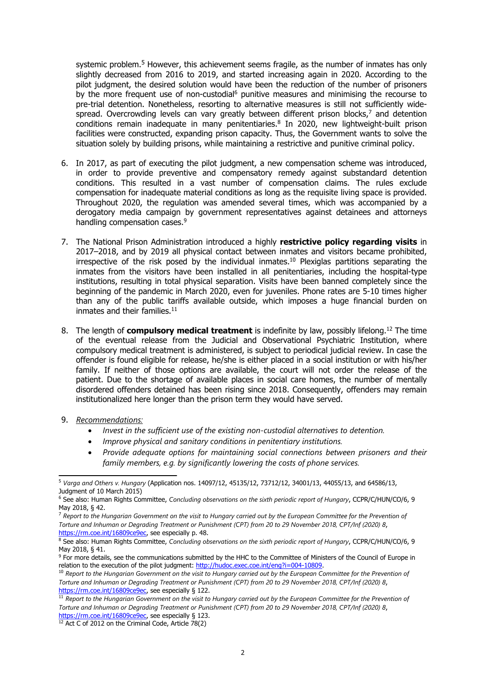systemic problem.<sup>5</sup> However, this achievement seems fragile, as the number of inmates has only slightly decreased from 2016 to 2019, and started increasing again in 2020. According to the pilot judgment, the desired solution would have been the reduction of the number of prisoners by the more frequent use of non-custodial<sup>6</sup> punitive measures and minimising the recourse to pre-trial detention. Nonetheless, resorting to alternative measures is still not sufficiently widespread. Overcrowding levels can vary greatly between different prison blocks, 7 and detention conditions remain inadequate in many penitentiaries. 8 In 2020, new lightweight-built prison facilities were constructed, expanding prison capacity. Thus, the Government wants to solve the situation solely by building prisons, while maintaining <sup>a</sup> restrictive and punitive criminal policy.

- 6. In 2017, as part of executing the pilot judgment, <sup>a</sup> new compensation scheme was introduced, in order to provide preventive and compensatory remedy against substandard detention conditions. This resulted in <sup>a</sup> vast number of compensation claims. The rules exclude compensation for inadequate material conditions as long as the requisite living space is provided. Throughout 2020, the regulation was amended several times, which was accompanied by <sup>a</sup> derogatory media campaign by government representatives against detainees and attorneys handling compensation cases. 9
- 7. The National Prison Administration introduced <sup>a</sup> highly **restrictive policy regarding visits** in 2017–2018, and by 2019 all physical contact between inmates and visitors became prohibited, irrespective of the risk posed by the individual inmates.<sup>10</sup> Plexiglas partitions separating the inmates from the visitors have been installed in all penitentiaries, including the hospital-type institutions, resulting in total physical separation. Visits have been banned completely since the beginning of the pandemic in March 2020, even for juveniles. Phone rates are 5-10 times higher than any of the public tariffs available outside, which imposes <sup>a</sup> huge financial burden on inmates and their families.<sup>11</sup>
- 8. The length of **compulsory medical treatment** is indefinite by law, possibly lifelong.<sup>12</sup> The time of the eventual release from the Judicial and Observational Psychiatric Institution, where compulsory medical treatment is administered, is subject to periodical judicial review. In case the offender is found eligible for release, he/she is either placed in <sup>a</sup> social institution or with his/her family. If neither of those options are available, the court will not order the release of the patient. Due to the shortage of available places in social care homes, the number of mentally disordered offenders detained has been rising since 2018. Consequently, offenders may remain institutionalized here longer than the prison term they would have served.
- 9. *Recommendations:*
	- c *Invest in the sufficient use of the existing non-custodial alternatives to detention.*
	- c *Improve physical and sanitary conditions in penitentiary institutions.*
	- c *Provide adequate options for maintaining social connections between prisoners and their family members, e.g. by significantly lowering the costs of phone services.*

<sup>12</sup> Act C of 2012 on the Criminal Code, Article 78(2)

<sup>5</sup> *Varga and Others v. Hungary* (Application nos. 14097/12, 45135/12, 73712/12, 34001/13, 44055/13, and 64586/13, Judgment of 10 March 2015)

<sup>6</sup> See also: Human Rights Committee, *Concluding observations on the sixth periodic repor<sup>t</sup> of Hungary*, CCPR/C/HUN/CO/6, 9 May 2018, § 42.

<sup>&</sup>lt;sup>7</sup> Report to the Hungarian Government on the visit to Hungary carried out by the European Committee for the Prevention of Torture and Inhuman or Degrading Treatment or Punishment (CPT) from 20 to 29 November 2018, CPT/Inf (2020) 8, <https://rm.coe.int/16809ce9ec>, see especially p. 48.

<sup>8</sup> See also: Human Rights Committee, *Concluding observations on the sixth periodic repor<sup>t</sup> of Hungary*, CCPR/C/HUN/CO/6, 9 May 2018, § 41.

<sup>9</sup> For more details, see the communications submitted by the HHC to the Committee of Ministers of the Council of Europe in relation to the execution of the pilot judgment: <http://hudoc.exec.coe.int/eng?i=004-10809>.

 $^{\rm 10}$  Report to the Hungarian Government on the visit to Hungary carried out by the European Committee for the Prevention of Torture and Inhuman or Degrading Treatment or Punishment (CPT) from 20 to 29 November 2018, CPT/Inf (2020) 8,

<sup>&</sup>lt;u><https://rm.coe.int/16809ce9ec></u>, see especially § 122.<br><sup>11</sup> Report to the Hungarian Government on the visit to Hungary carried out by the European Committee for the Prevention of Torture and Inhuman or Degrading Treatment or Punishment (CPT) from 20 to 29 November 2018, CPT/Inf (2020) 8, <https://rm.coe.int/16809ce9ec>, see especially § 123.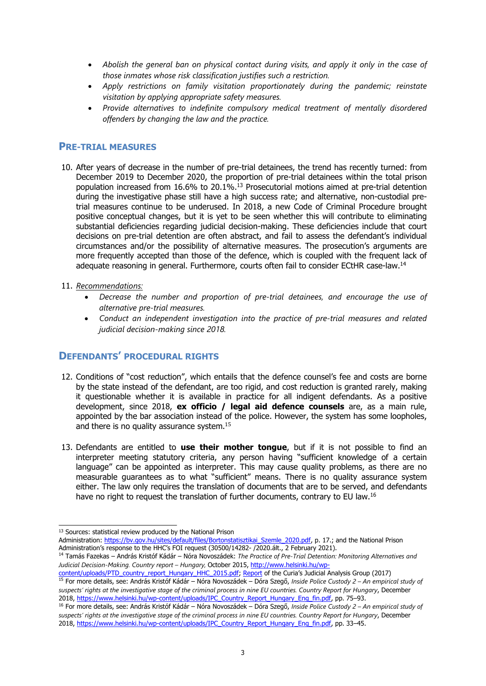- c Abolish the general ban on physical contact during visits, and apply it only in the case of *those inmates whose risk classification justifies such <sup>a</sup> restriction.*
- c *Apply restrictions on family visitation proportionately during the pandemic; reinstate visitation by applying appropriate safety measures.*
- c *Provide alternatives to indefinite compulsory medical treatment of mentally disordered offenders by changing the law and the practice.*

### **PRE-TRIAL MEASURES**

- 10. After years of decrease in the number of pre-trial detainees, the trend has recently turned: from December 2019 to December 2020, the proportion of pre-trial detainees within the total prison population increased from 16.6% to 20.1%.<sup>13</sup> Prosecutorial motions aimed at pre-trial detention during the investigative phase still have <sup>a</sup> high success rate; and alternative, non-custodial pretrial measures continue to be underused. In 2018, <sup>a</sup> new Code of Criminal Procedure brought positive conceptual changes, but it is yet to be seen whether this will contribute to eliminating substantial deficiencies regarding judicial decision-making. These deficiencies include that court decisions on pre-trial detention are often abstract, and fail to assess the defendant'<sup>s</sup> individual circumstances and/or the possibility of alternative measures. The prosecution'<sup>s</sup> arguments are more frequently accepted than those of the defence, which is coupled with the frequent lack of adequate reasoning in general. Furthermore, courts often fail to consider ECtHR case-law.<sup>14</sup>
- 11. *Recommendations:*
	- *Decrease the number and proportion of pre-trial detainees, and encourage the use of alternative pre-trial measures.*
	- *Conduct an independent investigation into the practice of pre-trial measures and related judicial decision-making since 2018.*

# **DEFENDANTS' PROCEDURAL RIGHTS**

- 12. Conditions of "cost reduction", which entails that the defence counsel'<sup>s</sup> fee and costs are borne by the state instead of the defendant, are too rigid, and cost reduction is granted rarely, making it questionable whether it is available in practice for all indigent defendants. As <sup>a</sup> positive development, since 2018, **ex officio / legal aid defence counsels** are, as <sup>a</sup> main rule, appointed by the bar association instead of the police. However, the system has some loopholes, and there is no quality assurance system.<sup>15</sup>
- 13. Defendants are entitled to **use their mother tongue**, but if it is not possible to find an interpreter meeting statutory criteria, any person having "sufficient knowledge of <sup>a</sup> certain language" can be appointed as interpreter. This may cause quality problems, as there are no measurable guarantees as to what "sufficient" means. There is no quality assurance system either. The law only requires the translation of documents that are to be served, and defendants have no right to request the translation of further documents, contrary to EU law.<sup>16</sup>

<sup>&</sup>lt;sup>13</sup> Sources: statistical review produced by the National Prison

Administration: [https://bv.gov.hu/sites/default/files/Bortonstatisztikai\\_Szemle\\_2020.pdf](https://bv.gov.hu/sites/default/files/Bortonstatisztikai_Szemle_2020.pdf), p. 17.; and the National Prison Administration'<sup>s</sup> response to the HHC'<sup>s</sup> FOI request (30500/14282- /2020.ált., 2 February 2021).

<sup>14</sup> Tamás Fazekas – András Kristóf Kádár – Nóra Novoszádek: *The Practice of Pre-Trial Detention: Monitoring Alternatives and Judicial Decision-Making. Country repor<sup>t</sup> – Hungary,* October 2015, [http://www.helsinki.hu/wp-](http://www.helsinki.hu/wp-content/uploads/PTD_country_report_Hungary_HHC_2015.pdf)

<sup>&</sup>lt;u>[content/uploads/PTD\\_country\\_report\\_Hungary\\_HHC\\_2015.pdf](http://www.helsinki.hu/wp-content/uploads/PTD_country_report_Hungary_HHC_2015.pdf);\_[Report](http://www.kuria-birosag.hu/sites/default/files/joggyak/osszefoglalo_velemeny_7.pdf)</u> of the Curia's Judicial Analysis Group (2017)<br><sup>15</sup> For more details, see: András Kristóf Kádár – Nóra Novoszádek – Dóra Szegő, *Inside Police Custody 2 – An* suspects' rights at the investigative stage of the criminal process in nine EU countries. Country Report for Hungary, December 2018, [https://www.helsinki.hu/wp-content/uploads/IPC\\_Country\\_Report\\_Hungary\\_Eng\\_fin.pdf](https://www.helsinki.hu/wp-content/uploads/IPC_Country_Report_Hungary_Eng_fin.pdf), pp. 75–93.

<sup>16</sup> For more details, see: András Kristóf Kádár – Nóra Novoszádek – Dóra Szegő, *Inside Police Custody <sup>2</sup> – An empirical study of* suspects' rights at the investigative stage of the criminal process in nine EU countries. Country Report for Hungary, December 2018, [https://www.helsinki.hu/wp-content/uploads/IPC\\_Country\\_Report\\_Hungary\\_Eng\\_fin.pdf](https://www.helsinki.hu/wp-content/uploads/IPC_Country_Report_Hungary_Eng_fin.pdf), pp. 33-45.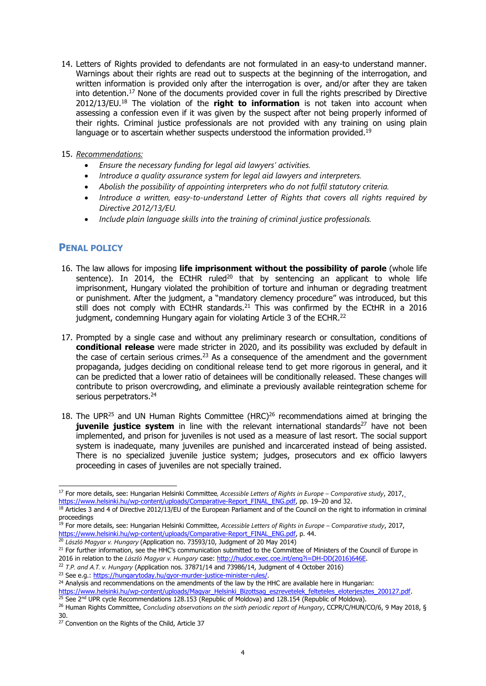- 14. Letters of Rights provided to defendants are not formulated in an easy-to understand manner. Warnings about their rights are read out to suspects at the beginning of the interrogation, and written information is provided only after the interrogation is over, and/or after they are taken into detention. 17 None of the documents provided cover in full the rights prescribed by Directive 2012/13/EU. 18 The violation of the **right to information** is not taken into account when assessing <sup>a</sup> confession even if it was given by the suspect after not being properly informed of their rights. Criminal justice professionals are not provided with any training on using plain language or to ascertain whether suspects understood the information provided.<sup>19</sup>
- 15. *Recommendations:*
	- *Ensure the necessary funding for legal aid lawyers' activities.*
	- . *Introduce <sup>a</sup> quality assurance system for legal aid lawyers and interpreters.*
	- *Abolish the possibility of appointing interpreters who do not fulfil statutory criteria.*
	- *Introduce <sup>a</sup> written, easy-to-understand Letter of Rights that covers all rights required by Directive 2012/13/EU.*
	- *Include plain language skills into the training of criminal justice professionals.*

# **PENAL POLICY**

- 16. The law allows for imposing **life imprisonment without the possibility of parole** (whole life sentence). In 2014, the ECtHR ruled<sup>20</sup> that by sentencing an applicant to whole life imprisonment, Hungary violated the prohibition of torture and inhuman or degrading treatment or punishment. After the judgment, <sup>a</sup> "mandatory clemency procedure" was introduced, but this still does not comply with ECtHR standards.<sup>21</sup> This was confirmed by the ECtHR in a 2016 judgment, condemning Hungary again for violating Article 3 of the ECHR.<sup>22</sup>
- 17. Prompted by <sup>a</sup> single case and without any preliminary research or consultation, conditions of **conditional release** were made stricter in 2020, and its possibility was excluded by default in the case of certain serious crimes.<sup>23</sup> As a consequence of the amendment and the government propaganda, judges deciding on conditional release tend to get more rigorous in general, and it can be predicted that <sup>a</sup> lower ratio of detainees will be conditionally released. These changes will contribute to prison overcrowding, and eliminate <sup>a</sup> previously available reintegration scheme for serious perpetrators.<sup>24</sup>
- 18. The UPR<sup>25</sup> and UN Human Rights Committee (HRC)<sup>26</sup> recommendations aimed at bringing the **juvenile justice system** in line with the relevant international standards 27 have not been implemented, and prison for juveniles is not used as <sup>a</sup> measure of last resort. The social support system is inadequate, many juveniles are punished and incarcerated instead of being assisted. There is no specialized juvenile justice system; judges, prosecutors and ex officio lawyers proceeding in cases of juveniles are not specially trained.

<sup>17</sup> For more details, see: Hungarian Helsinki Committee*, Accessible Letters of Rights in Europe – Comparative study*, 2017, <u>[https://www.helsinki.hu/wp-content/uploads/Comparative-Report\\_FINAL\\_ENG.pdf](https://www.helsinki.hu/wp-content/uploads/Comparative-Report_FINAL_ENG.pdf)</u>, pp. 19–20 and 32.<br><sup>18</sup> Articles 3 and 4 of Directive 2012/13/EU of the European Parliament and of the Council on the right to information in cr

proceedings 19 For more details, see: Hungarian Helsinki Committee, *Accessible Letters of Rights in Europe – Comparative study*, 2017,

[https://www.helsinki.hu/wp-content/uploads/Comparative-Report\\_FINAL\\_ENG.pdf](https://www.helsinki.hu/wp-content/uploads/Comparative-Report_FINAL_ENG.pdf), p. 44. 20 *László Magyar v. Hungary* (Application no. 73593/10, Judgment of 20 May 2014)

<sup>&</sup>lt;sup>21</sup> For further information, see the HHC's communication submitted to the Committee of Ministers of the Council of Europe in 2016 in relation to the *László Magyar v. Hungary* case: [http://hudoc.exec.coe.int/eng?i=DH-DD\(2016\)646E](http://hudoc.exec.coe.int/eng?i=DH-DD(2016)646E).

<sup>22</sup> *T.P. and A.T. v. Hungary* (Application nos. 37871/14 and 73986/14, Judgment of 4 October 2016)

<sup>&</sup>lt;sup>23</sup> See e.g.: <https://hungarytoday.hu/gyor-murder-justice-minister-rules/>.

<sup>&</sup>lt;sup>24</sup> Analysis and recommendations on the amendments of the law by the HHC are available here in Hungarian:

<sup>&</sup>lt;u>[https://www.helsinki.hu/wp-content/uploads/Magyar\\_Helsinki\\_Bizottsag\\_eszrevetelek\\_felteteles\\_eloterjesztes\\_200127.pdf](https://www.helsinki.hu/wp-content/uploads/Magyar_Helsinki_Bizottsag_eszrevetelek_felteteles_eloterjesztes_200127.pdf).</u><br><sup>25</sup> See 2<sup>nd</sup> UPR cycle Recommendations 128.153 (Republic of Moldova) and 128.154 (Republic of Moldo

<sup>26</sup> Human Rights Committee, *Concluding observations on the sixth periodic repor<sup>t</sup> of Hungary*, CCPR/C/HUN/CO/6, 9 May 2018, § 30.

<sup>&</sup>lt;sup>27</sup> Convention on the Rights of the Child, Article 37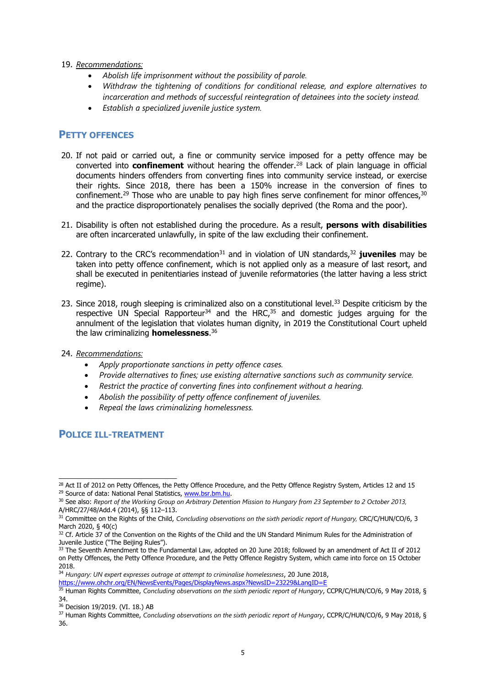### 19. *Recommendations:*

- c *Abolish life imprisonment without the possibility of parole.*
- c *Withdraw the tightening of conditions for conditional release, and explore alternatives to incarceration and methods of successful reintegration of detainees into the society instead.*
- c *Establish <sup>a</sup> specialized juvenile justice system.*

# **PETTY OFFENCES**

- 20. If not paid or carried out, <sup>a</sup> fine or community service imposed for <sup>a</sup> petty offence may be converted into **confinement** without hearing the offender. 28 Lack of plain language in official documents hinders offenders from converting fines into community service instead, or exercise their rights. Since 2018, there has been <sup>a</sup> 150% increase in the conversion of fines to confinement.<sup>29</sup> Those who are unable to pay high fines serve confinement for minor offences,<sup>30</sup> and the practice disproportionately penalises the socially deprived (the Roma and the poor).
- 21. Disability is often not established during the procedure. As <sup>a</sup> result, **persons with disabilities** are often incarcerated unlawfully, in spite of the law excluding their confinement.
- 22. Contrary to the CRC's recommendation<sup>31</sup> and in violation of UN standards,<sup>32</sup> **juveniles** may be taken into petty offence confinement, which is not applied only as <sup>a</sup> measure of last resort, and shall be executed in penitentiaries instead of juvenile reformatories (the latter having <sup>a</sup> less strict regime).
- 23. Since 2018, rough sleeping is criminalized also on a constitutional level.<sup>33</sup> Despite criticism by the respective UN Special Rapporteur<sup>34</sup> and the HRC,<sup>35</sup> and domestic judges arguing for the annulment of the legislation that violates human dignity, in 2019 the Constitutional Court upheld the law criminalizing **homelessness**. 36

### 24. *Recommendations:*

- *Apply proportionate sanctions in petty offence cases.*
- *Provide alternatives to fines; use existing alternative sanctions such as community service.*
- *Restrict the practice of converting fines into confinement without <sup>a</sup> hearing.*
- *Abolish the possibility of petty offence confinement of juveniles.*
- *Repeal the laws criminalizing homelessness.*

# **POLICE ILL-TREATMENT**

 $^{28}$  Act II of 2012 on Petty Offences, the Petty Offence Procedure, and the Petty Offence Registry System, Articles 12 and 15 <sup>29</sup> Source of data: National Penal Statistics, [www.bsr.bm.hu](http://www.bsr.bm.hu).

 $^{30}$  See also: Report of the Working Group on Arbitrary Detention Mission to Hungary from 23 September to 2 October 2013,

A/HRC/27/48/Add.4 (2014), §§ 112—113.<br><sup>31</sup> Committee on the Rights of the Child, Concluding observations on the sixth periodic report of Hungary, CRC/C/HUN/CO/6, 3 March 2020, § 40(c)

<sup>&</sup>lt;sup>32</sup> Cf. Article 37 of the Convention on the Rights of the Child and the UN Standard Minimum Rules for the Administration of Juvenile Justice ("The Beijing Rules").

<sup>33</sup> The Seventh Amendment to the Fundamental Law, adopted on 20 June 2018; followed by an amendment of Act II of 2012 on Petty Offences, the Petty Offence Procedure, and the Petty Offence Registry System, which came into force on 15 October 2018.

<sup>34</sup> *Hungary: UN exper<sup>t</sup> expresses outrage at attempt to criminalise homelessness*, 20 June 2018,

<https://www.ohchr.org/EN/NewsEvents/Pages/DisplayNews.aspx?NewsID=23229&LangID=E>

<sup>35</sup> Human Rights Committee, *Concluding observations on the sixth periodic repor<sup>t</sup> of Hungary*, CCPR/C/HUN/CO/6, 9 May 2018, § 34.

<sup>36</sup> Decision 19/2019. (VI. 18.) AB

<sup>37</sup> Human Rights Committee, *Concluding observations on the sixth periodic repor<sup>t</sup> of Hungary*, CCPR/C/HUN/CO/6, 9 May 2018, § 36.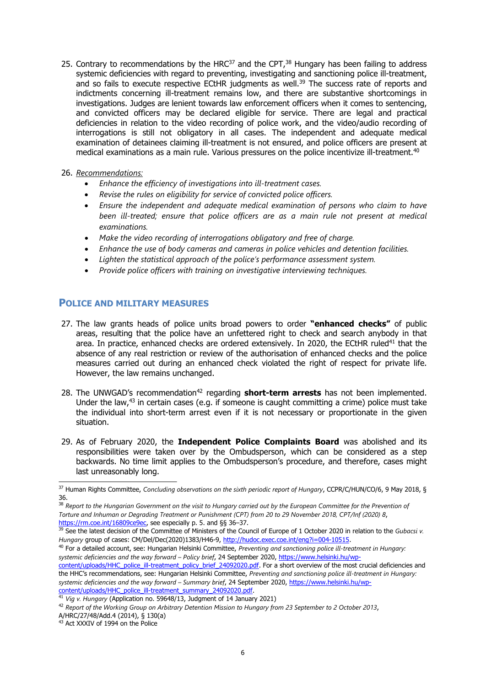25. Contrary to recommendations by the HRC<sup>37</sup> and the CPT,<sup>38</sup> Hungary has been failing to address systemic deficiencies with regard to preventing, investigating and sanctioning police ill-treatment, and so fails to execute respective ECtHR judgments as well.<sup>39</sup> The success rate of reports and indictments concerning ill-treatment remains low, and there are substantive shortcomings in investigations. Judges are lenient towards law enforcement officers when it comes to sentencing, and convicted officers may be declared eligible for service. There are legal and practical deficiencies in relation to the video recording of police work, and the video/audio recording of interrogations is still not obligatory in all cases. The independent and adequate medical examination of detainees claiming ill-treatment is not ensured, and police officers are present at medical examinations as <sup>a</sup> main rule. Various pressures on the police incentivize ill-treatment. 40

### 26. *Recommendations:*

- *Enhance the efficiency of investigations into ill-treatment cases.*
- . *Revise the rules on eligibility for service of convicted police officers.*
- . *Ensure the independent and adequate medical examination of persons who claim to have been ill-treated; ensure that police officers are as <sup>a</sup> main rule not presen<sup>t</sup> at medical examinations.*
- *Make the video recording of interrogations obligatory and free of charge.*
- *Enhance the use of body cameras and cameras in police vehicles and detention facilities.*
- *Lighten the statistical approach of the police'<sup>s</sup> performance assessment system.*
- *Provide police officers with training on investigative interviewing techniques.*

### **POLICE AND MILITARY MEASURES**

- 27. The law grants heads of police units broad powers to order **"enhanced checks"** of public areas, resulting that the police have an unfettered right to check and search anybody in that area. In practice, enhanced checks are ordered extensively. In 2020, the ECtHR ruled<sup>41</sup> that the absence of any real restriction or review of the authorisation of enhanced checks and the police measures carried out during an enhanced check violated the right of respect for private life. However, the law remains unchanged.
- 28. The UNWGAD's recommendation<sup>42</sup> regarding **short-term arrests** has not been implemented. Under the law,<sup>43</sup> in certain cases (e.g. if someone is caught committing a crime) police must take the individual into short-term arrest even if it is not necessary or proportionate in the given situation.
- 29. As of February 2020, the **Independent Police Complaints Board** was abolished and its responsibilities were taken over by the Ombudsperson, which can be considered as <sup>a</sup> step backwards. No time limit applies to the Ombudsperson'<sup>s</sup> procedure, and therefore, cases might last unreasonably long.

40 For <sup>a</sup> detailed account, see: Hungarian Helsinki Committee, *Preventing and sanctioning police ill-treatment in Hungary: systemic deficiencies and the way forward – Policy brief*, 24 September 2020, [https://www.helsinki.hu/wp](https://www.helsinki.hu/wp-content/uploads/HHC_police_ill-treatment_policy_brief_24092020.pdf)[content/uploads/HHC\\_police\\_ill-treatment\\_policy\\_brief\\_24092020.pdf](https://www.helsinki.hu/wp-content/uploads/HHC_police_ill-treatment_policy_brief_24092020.pdf). For a short overview of the most crucial deficiencies and the HHC'<sup>s</sup> recommendations, see: Hungarian Helsinki Committee, *Preventing and sanctioning police ill-treatment in Hungary:*

*systemic deficiencies and the way forward – Summary brief*, 24 September 2020, [https://www.helsinki.hu/wp-](https://www.helsinki.hu/wp-content/uploads/HHC_police_ill-treatment_summary_24092020.pdf)

[content/uploads/HHC\\_police\\_ill-treatment\\_summary\\_24092020.pdf](https://www.helsinki.hu/wp-content/uploads/HHC_police_ill-treatment_summary_24092020.pdf). 41 *Vig v. Hungary* (Application no. 59648/13, Judgment of 14 January 2021)

<sup>37</sup> Human Rights Committee, *Concluding observations on the sixth periodic repor<sup>t</sup> of Hungary*, CCPR/C/HUN/CO/6, 9 May 2018, § 36.

 $^{\rm 38}$  Report to the Hungarian Government on the visit to Hungary carried out by the European Committee for the Prevention of Torture and Inhuman or Dearading Treatment or Punishment (CPT) from 20 to 29 November 2018, CPT/Inf (2020) 8, <https://rm.coe.int/16809ce9ec>, see especially p. 5. and §§ 36-37.

<sup>39</sup> See the latest decision of the Committee of Ministers of the Council of Europe of 1 October 2020 in relation to the *Gubacsi v. Hungary* group of cases: CM/Del/Dec(2020)1383/H46-9, <http://hudoc.exec.coe.int/eng?i=004-10515>.

 $^{42}$  Report of the Working Group on Arbitrary Detention Mission to Hungary from 23 September to 2 October 2013,

A/HRC/27/48/Add.4 (2014), § 130(a)<br><sup>43</sup> Act XXXIV of 1994 on the Police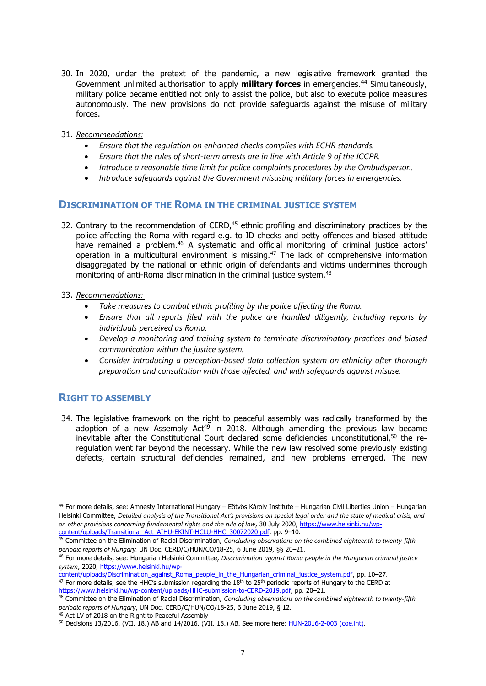- 30. In 2020, under the pretext of the pandemic, <sup>a</sup> new legislative framework granted the Government unlimited authorisation to apply **military forces** in emergencies. 44 Simultaneously, military police became entitled not only to assist the police, but also to execute police measures autonomously. The new provisions do not provide safeguards against the misuse of military forces.
- 31. *Recommendations:*
	- *Ensure that the regulation on enhanced checks complies with ECHR standards.*
	- *Ensure that the rules of short-term arrests are in line with Article 9 of the ICCPR.*
	- *Introduce <sup>a</sup> reasonable time limit for police complaints procedures by the Ombudsperson.*
	- *Introduce safeguards against the Government misusing military forces in emergencies.*

### **DISCRIMINATION OF THE ROMA IN THE CRIMINAL JUSTICE SYSTEM**

- 32. Contrary to the recommendation of CERD,<sup>45</sup> ethnic profiling and discriminatory practices by the police affecting the Roma with regard e.g. to ID checks and petty offences and biased attitude have remained a problem.<sup>46</sup> A systematic and official monitoring of criminal justice actors' operation in a multicultural environment is missing.<sup>47</sup> The lack of comprehensive information disaggregated by the national or ethnic origin of defendants and victims undermines thorough monitoring of anti-Roma discrimination in the criminal justice system. 48
- 33. *Recommendations:*
	- . *Take measures to combat ethnic profiling by the police affecting the Roma.*
	- *Ensure that all reports filed with the police are handled diligently, including reports by individuals perceived as Roma.*
	- *Develop <sup>a</sup> monitoring and training system to terminate discriminatory practices and biased communication within the justice system.*
	- . *Consider introducing <sup>a</sup> perception-based data collection system on ethnicity after thorough preparation and consultation with those affected, and with safeguards against misuse.*

### **RIGHT TO ASSEMBLY**

34. The legislative framework on the right to peaceful assembly was radically transformed by the adoption of a new Assembly Act<sup>49</sup> in 2018. Although amending the previous law became inevitable after the Constitutional Court declared some deficiencies unconstitutional, $^{50}$  the reregulation went far beyond the necessary. While the new law resolved some previously existing defects, certain structural deficiencies remained, and new problems emerged. The new

[content/uploads/Discrimination\\_against\\_Roma\\_people\\_in\\_the\\_Hungarian\\_criminal\\_justice\\_system.pdf,](https://www.helsinki.hu/wp-content/uploads/Discrimination_against_Roma_people_in_the_Hungarian_criminal_justice_system.pdf) pp. 10–27.<br><sup>47</sup> For more details, see the HHC's submission regarding the 18<sup>th</sup> to 25<sup>th</sup> periodic reports of Hungary to the

<sup>44</sup> For more details, see: Amnesty International Hungary – Eötvös Károly Institute – Hungarian Civil Liberties Union – Hungarian Helsinki Committee, Detailed analysis of the Transitional Act's provisions on special legal order and the state of medical crisis, and *on other provisions concerning fundamental rights and the rule of law*, 30 July 2020, [https://www.helsinki.hu/wp-](https://www.helsinki.hu/wp-content/uploads/Transitional_Act_AIHU-EKINT-HCLU-HHC_30072020.pdf)

<sup>&</sup>lt;u>[content/uploads/Transitional\\_Act\\_AIHU-EKINT-HCLU-HHC\\_30072020.pdf](https://www.helsinki.hu/wp-content/uploads/Transitional_Act_AIHU-EKINT-HCLU-HHC_30072020.pdf)</u>, pp. 9—10.<br><sup>45</sup> Committee on the Elimination of Racial Discrimination, *Concluding observations on the combined eighteenth to twenty-fifth* 

periodic reports of Hungary, UN Doc. CERD/C/HUN/CO/18-25, 6 June 2019, §§ 20–21.<br><sup>46</sup> For more details, see: Hungarian Helsinki Committee, *Discrimination against Roma people in the Hungarian criminal justice system*, 2020, [https://www.helsinki.hu/wp-](https://www.helsinki.hu/wp-content/uploads/Discrimination_against_Roma_people_in_the_Hungarian_criminal_justice_system.pdf)

<sup>&</sup>lt;u>https://www.helsinki.hu/wp-content/uploads/HHC-submission-to-CERD-2019.pdf</u>, pp. 20–21.<br><sup>48</sup> Committee on the Elimination of Racial Discrimination, *Concluding observations on the combined eighteenth to twenty-fifth periodic reports of Hungary*, UN Doc. CERD/C/HUN/CO/18-25, 6 June 2019, § 12. 49 Act LV of 2018 on the Right to Peaceful Assembly

<sup>50</sup> Decisions 13/2016. (VII. 18.) AB and 14/2016. (VII. 18.) AB. See more here: [HUN-2016-2-003](http://www.codices.coe.int/NXT/gateway.dll/CODICES/precis/eng/eur/hun/hun-2016-2-003) (coe.int).